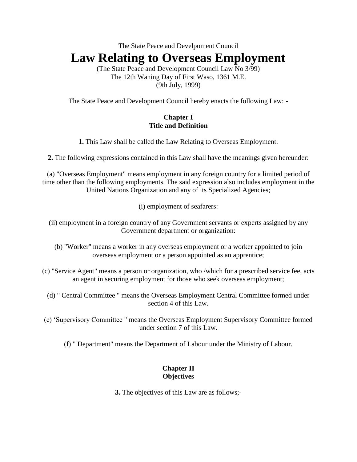The State Peace and Develpoment Council

# **Law Relating to Overseas Employment**

(The State Peace and Development Council Law No 3/99) The 12th Waning Day of First Waso, 1361 M.E. (9th July, 1999)

The State Peace and Development Council hereby enacts the following Law: -

### **Chapter I Title and Definition**

**1.** This Law shall be called the Law Relating to Overseas Employment.

**2.** The following expressions contained in this Law shall have the meanings given hereunder:

(a) "Overseas Employment" means employment in any foreign country for a limited period of time other than the following employments. The said expression also includes employment in the United Nations Organization and any of its Specialized Agencies;

(i) employment of seafarers:

- (ii) employment in a foreign country of any Government servants or experts assigned by any Government department or organization:
	- (b) "Worker" means a worker in any overseas employment or a worker appointed to join overseas employment or a person appointed as an apprentice;
- (c) "Service Agent" means a person or organization, who /which for a prescribed service fee, acts an agent in securing employment for those who seek overseas employment;
	- (d) " Central Committee " means the Overseas Employment Central Committee formed under section 4 of this Law.
- (e) 'Supervisory Committee " means the Overseas Employment Supervisory Committee formed under section 7 of this Law.
	- (f) " Department" means the Department of Labour under the Ministry of Labour.

# **Chapter II Objectives**

**3.** The objectives of this Law are as follows;-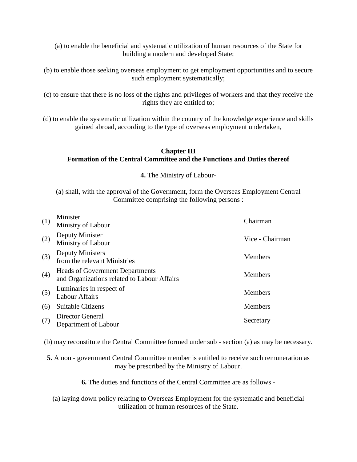(a) to enable the beneficial and systematic utilization of human resources of the State for building a modern and developed State;

- (b) to enable those seeking overseas employment to get employment opportunities and to secure such employment systematically;
- (c) to ensure that there is no loss of the rights and privileges of workers and that they receive the rights they are entitled to;
- (d) to enable the systematic utilization within the country of the knowledge experience and skills gained abroad, according to the type of overseas employment undertaken,

## **Chapter III Formation of the Central Committee and the Functions and Duties thereof**

**4.** The Ministry of Labour-

(a) shall, with the approval of the Government, form the Overseas Employment Central Committee comprising the following persons :

| (1) | Minister<br>Ministry of Labour                                                        | Chairman        |
|-----|---------------------------------------------------------------------------------------|-----------------|
| (2) | Deputy Minister<br>Ministry of Labour                                                 | Vice - Chairman |
| (3) | <b>Deputy Ministers</b><br>from the relevant Ministries                               | <b>Members</b>  |
| (4) | <b>Heads of Government Departments</b><br>and Organizations related to Labour Affairs | <b>Members</b>  |
| (5) | Luminaries in respect of<br><b>Labour Affairs</b>                                     | <b>Members</b>  |
| (6) | Suitable Citizens                                                                     | <b>Members</b>  |
| (7) | <b>Director General</b><br>Department of Labour                                       | Secretary       |

(b) may reconstitute the Central Committee formed under sub - section (a) as may be necessary.

**5.** A non - government Central Committee member is entitled to receive such remuneration as may be prescribed by the Ministry of Labour.

**6.** The duties and functions of the Central Committee are as follows -

(a) laying down policy relating to Overseas Employment for the systematic and beneficial utilization of human resources of the State.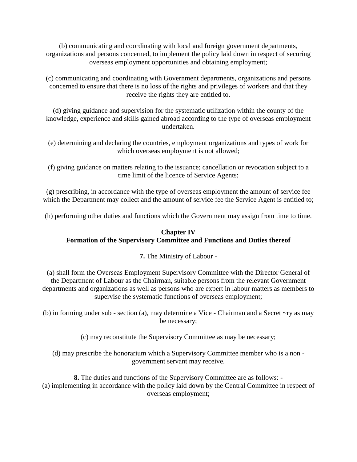(b) communicating and coordinating with local and foreign government departments, organizations and persons concerned, to implement the policy laid down in respect of securing overseas employment opportunities and obtaining employment;

(c) communicating and coordinating with Government departments, organizations and persons concerned to ensure that there is no loss of the rights and privileges of workers and that they receive the rights they are entitled to.

(d) giving guidance and supervision for the systematic utilization within the county of the knowledge, experience and skills gained abroad according to the type of overseas employment undertaken.

- (e) determining and declaring the countries, employment organizations and types of work for which overseas employment is not allowed;
- (f) giving guidance on matters relating to the issuance; cancellation or revocation subject to a time limit of the licence of Service Agents;

(g) prescribing, in accordance with the type of overseas employment the amount of service fee which the Department may collect and the amount of service fee the Service Agent is entitled to;

(h) performing other duties and functions which the Government may assign from time to time.

# **Chapter IV Formation of the Supervisory Committee and Functions and Duties thereof**

**7.** The Ministry of Labour -

(a) shall form the Overseas Employment Supervisory Committee with the Director General of the Department of Labour as the Chairman, suitable persons from the relevant Government departments and organizations as well as persons who are expert in labour matters as members to supervise the systematic functions of overseas employment;

(b) in forming under sub - section (a), may determine a Vice - Chairman and a Secret ~ry as may be necessary;

(c) may reconstitute the Supervisory Committee as may be necessary;

(d) may prescribe the honorarium which a Supervisory Committee member who is a non government servant may receive.

**8.** The duties and functions of the Supervisory Committee are as follows: - (a) implementing in accordance with the policy laid down by the Central Committee in respect of overseas employment;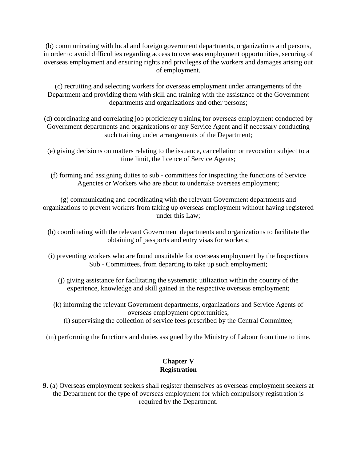(b) communicating with local and foreign government departments, organizations and persons, in order to avoid difficulties regarding access to overseas employment opportunities, securing of overseas employment and ensuring rights and privileges of the workers and damages arising out of employment.

(c) recruiting and selecting workers for overseas employment under arrangements of the Department and providing them with skill and training with the assistance of the Government departments and organizations and other persons;

(d) coordinating and correlating job proficiency training for overseas employment conducted by Government departments and organizations or any Service Agent and if necessary conducting such training under arrangements of the Department;

(e) giving decisions on matters relating to the issuance, cancellation or revocation subject to a time limit, the licence of Service Agents;

(f) forming and assigning duties to sub - committees for inspecting the functions of Service Agencies or Workers who are about to undertake overseas employment;

(g) communicating and coordinating with the relevant Government departments and organizations to prevent workers from taking up overseas employment without having registered under this Law;

- (h) coordinating with the relevant Government departments and organizations to facilitate the obtaining of passports and entry visas for workers;
- (i) preventing workers who are found unsuitable for overseas employment by the Inspections Sub - Committees, from departing to take up such employment;
	- (j) giving assistance for facilitating the systematic utilization within the country of the experience, knowledge and skill gained in the respective overseas employment;
	- (k) informing the relevant Government departments, organizations and Service Agents of overseas employment opportunities;
		- (l) supervising the collection of service fees prescribed by the Central Committee;
- (m) performing the functions and duties assigned by the Ministry of Labour from time to time.

## **Chapter V Registration**

**9.** (a) Overseas employment seekers shall register themselves as overseas employment seekers at the Department for the type of overseas employment for which compulsory registration is required by the Department.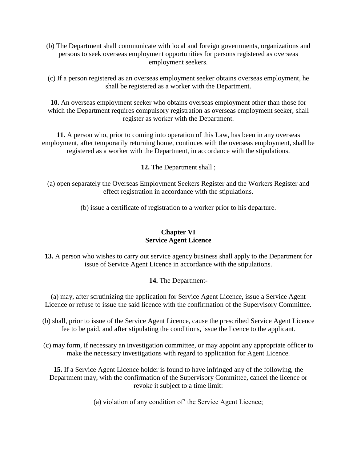(b) The Department shall communicate with local and foreign governments, organizations and persons to seek overseas employment opportunities for persons registered as overseas employment seekers.

(c) If a person registered as an overseas employment seeker obtains overseas employment, he shall be registered as a worker with the Department.

**10.** An overseas employment seeker who obtains overseas employment other than those for which the Department requires compulsory registration as overseas employment seeker, shall register as worker with the Department.

**11.** A person who, prior to coming into operation of this Law, has been in any overseas employment, after temporarily returning home, continues with the overseas employment, shall be registered as a worker with the Department, in accordance with the stipulations.

**12.** The Department shall ;

(a) open separately the Overseas Employment Seekers Register and the Workers Register and effect registration in accordance with the stipulations.

(b) issue a certificate of registration to a worker prior to his departure.

# **Chapter VI Service Agent Licence**

**13.** A person who wishes to carry out service agency business shall apply to the Department for issue of Service Agent Licence in accordance with the stipulations.

#### **14.** The Department-

(a) may, after scrutinizing the application for Service Agent Licence, issue a Service Agent Licence or refuse to issue the said licence with the confirmation of the Supervisory Committee.

- (b) shall, prior to issue of the Service Agent Licence, cause the prescribed Service Agent Licence fee to be paid, and after stipulating the conditions, issue the licence to the applicant.
- (c) may form, if necessary an investigation committee, or may appoint any appropriate officer to make the necessary investigations with regard to application for Agent Licence.

**15.** If a Service Agent Licence holder is found to have infringed any of the following, the Department may, with the confirmation of the Supervisory Committee, cancel the licence or revoke it subject to a time limit:

(a) violation of any condition of' the Service Agent Licence;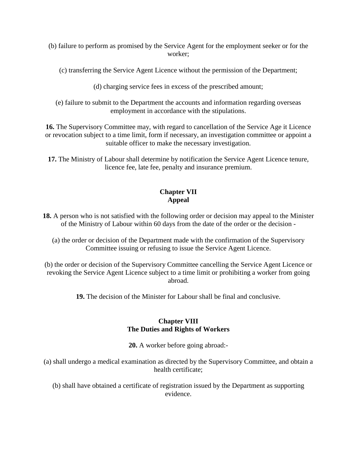- (b) failure to perform as promised by the Service Agent for the employment seeker or for the worker;
	- (c) transferring the Service Agent Licence without the permission of the Department;
		- (d) charging service fees in excess of the prescribed amount;
	- (e) failure to submit to the Department the accounts and information regarding overseas employment in accordance with the stipulations.

**16.** The Supervisory Committee may, with regard to cancellation of the Service Age it Licence or revocation subject to a time limit, form if necessary, an investigation committee or appoint a suitable officer to make the necessary investigation.

**17.** The Ministry of Labour shall determine by notification the Service Agent Licence tenure, licence fee, late fee, penalty and insurance premium.

# **Chapter VII Appeal**

- **18.** A person who is not satisfied with the following order or decision may appeal to the Minister of the Ministry of Labour within 60 days from the date of the order or the decision -
	- (a) the order or decision of the Department made with the confirmation of the Supervisory Committee issuing or refusing to issue the Service Agent Licence.
- (b) the order or decision of the Supervisory Committee cancelling the Service Agent Licence or revoking the Service Agent Licence subject to a time limit or prohibiting a worker from going abroad.
	- **19.** The decision of the Minister for Labour shall be final and conclusive.

#### **Chapter VIII The Duties and Rights of Workers**

**20.** A worker before going abroad:-

(a) shall undergo a medical examination as directed by the Supervisory Committee, and obtain a health certificate;

(b) shall have obtained a certificate of registration issued by the Department as supporting evidence.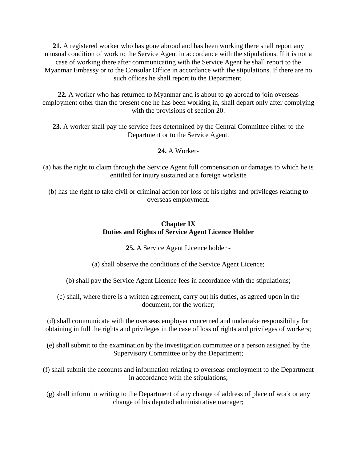**21.** A registered worker who has gone abroad and has been working there shall report any unusual condition of work to the Service Agent in accordance with the stipulations. If it is not a case of working there after communicating with the Service Agent he shall report to the Myanmar Embassy or to the Consular Office in accordance with the stipulations. If there are no such offices he shall report to the Department.

**22.** A worker who has returned to Myanmar and is about to go abroad to join overseas employment other than the present one he has been working in, shall depart only after complying with the provisions of section 20.

**23.** A worker shall pay the service fees determined by the Central Committee either to the Department or to the Service Agent.

**24.** A Worker-

(a) has the right to claim through the Service Agent full compensation or damages to which he is entitled for injury sustained at a foreign worksite

(b) has the right to take civil or criminal action for loss of his rights and privileges relating to overseas employment.

### **Chapter IX Duties and Rights of Service Agent Licence Holder**

**25.** A Service Agent Licence holder -

(a) shall observe the conditions of the Service Agent Licence;

(b) shall pay the Service Agent Licence fees in accordance with the stipulations;

(c) shall, where there is a written agreement, carry out his duties, as agreed upon in the document, for the worker;

(d) shall communicate with the overseas employer concerned and undertake responsibility for obtaining in full the rights and privileges in the case of loss of rights and privileges of workers;

(e) shall submit to the examination by the investigation committee or a person assigned by the Supervisory Committee or by the Department;

(f) shall submit the accounts and information relating to overseas employment to the Department in accordance with the stipulations;

(g) shall inform in writing to the Department of any change of address of place of work or any change of his deputed administrative manager;